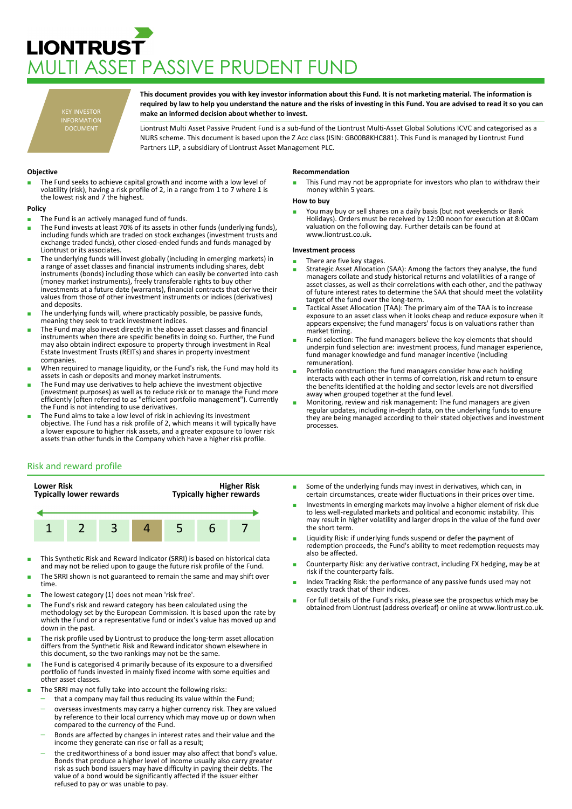# **LIONTRUST** MULTI ASSET PASSIVE PRUDENT FUND

KEY INVESTOR INFORMATION DOCUMENT

**This document provides you with key investor information about this Fund. It is not marketing material. The information is required by law to help you understand the nature and the risks of investing in this Fund. You are advised to read it so you can make an informed decision about whether to invest.**

Liontrust Multi Asset Passive Prudent Fund is a sub-fund of the Liontrust Multi-Asset Global Solutions ICVC and categorised as a NURS scheme. This document is based upon the Z Acc class (ISIN: GB00B8KHC881). This Fund is managed by Liontrust Fund Partners LLP, a subsidiary of Liontrust Asset Management PLC.

## **Objective**

The Fund seeks to achieve capital growth and income with a low level of volatility (risk), having a risk profile of 2, in a range from 1 to 7 where 1 is the lowest risk and 7 the highest.

## **Policy**

- The Fund is an actively managed fund of funds.
- The Fund invests at least 70% of its assets in other funds (underlying funds), including funds which are traded on stock exchanges (investment trusts and exchange traded funds), other closed-ended funds and funds managed by Liontrust or its associates.
- The underlying funds will invest globally (including in emerging markets) in a range of asset classes and financial instruments including shares, debt instruments (bonds) including those which can easily be converted into cash (money market instruments), freely transferable rights to buy other investments at a future date (warrants), financial contracts that derive their values from those of other investment instruments or indices (derivatives) and deposits.
- The underlying funds will, where practicably possible, be passive funds, meaning they seek to track investment indices.
- The Fund may also invest directly in the above asset classes and financial instruments when there are specific benefits in doing so. Further, the Fund may also obtain indirect exposure to property through investment in Real Estate Investment Trusts (REITs) and shares in property investment companies.
- When required to manage liquidity, or the Fund's risk, the Fund may hold its assets in cash or deposits and money market instruments.
- The Fund may use derivatives to help achieve the investment objective (investment purposes) as well as to reduce risk or to manage the Fund more efficiently (often referred to as "efficient portfolio management"). Currently the Fund is not intending to use derivatives.
- The Fund aims to take a low level of risk in achieving its investment objective. The Fund has a risk profile of 2, which means it will typically have a lower exposure to higher risk assets, and a greater exposure to lower risk assets than other funds in the Company which have a higher risk profile.

# Risk and reward profile



- This Synthetic Risk and Reward Indicator (SRRI) is based on historical data and may not be relied upon to gauge the future risk profile of the Fund.
- The SRRI shown is not guaranteed to remain the same and may shift over time.
- The lowest category (1) does not mean 'risk free'.
- The Fund's risk and reward category has been calculated using the methodology set by the European Commission. It is based upon the rate by which the Fund or a representative fund or index's value has moved up and down in the past.
- The risk profile used by Liontrust to produce the long-term asset allocation differs from the Synthetic Risk and Reward indicator shown elsewhere in this document, so the two rankings may not be the same.
- The Fund is categorised 4 primarily because of its exposure to a diversified portfolio of funds invested in mainly fixed income with some equities and other asset classes.
- The SRRI may not fully take into account the following risks:
- that a company may fail thus reducing its value within the Fund;
- overseas investments may carry a higher currency risk. They are valued by reference to their local currency which may move up or down when compared to the currency of the Fund.
- Bonds are affected by changes in interest rates and their value and the income they generate can rise or fall as a result;
- the creditworthiness of a bond issuer may also affect that bond's value. Bonds that produce a higher level of income usually also carry greater risk as such bond issuers may have difficulty in paying their debts. The value of a bond would be significantly affected if the issuer either refused to pay or was unable to pay.

#### **Recommendation**

This Fund may not be appropriate for investors who plan to withdraw their money within 5 years.

#### **How to buy**

■ You may buy or sell shares on a daily basis (but not weekends or Bank<br>Holidays). Orders must be received by 12:00 noon for execution at 8:00am valuation on the following day. Further details can be found at www.liontrust.co.uk.

## **Investment process**

- There are five key stages.
- Strategic Asset Allocation (SAA): Among the factors they analyse, the fund managers collate and study historical returns and volatilities of a range of asset classes, as well as their correlations with each other, and the pathway of future interest rates to determine the SAA that should meet the volatility target of the fund over the long-term.
- Tactical Asset Allocation (TAA): The primary aim of the TAA is to increase exposure to an asset class when it looks cheap and reduce exposure when it appears expensive; the fund managers' focus is on valuations rather than market timing.
- Fund selection: The fund managers believe the key elements that should underpin fund selection are: investment process, fund manager experience, fund manager knowledge and fund manager incentive (including remuneration).
- Portfolio construction: the fund managers consider how each holding interacts with each other in terms of correlation, risk and return to ensure the benefits identified at the holding and sector levels are not diversified away when grouped together at the fund level.
- Monitoring, review and risk management: The fund managers are given regular updates, including in-depth data, on the underlying funds to ensure they are being managed according to their stated objectives and investment processes.
- Some of the underlying funds may invest in derivatives, which can, in certain circumstances, create wider fluctuations in their prices over time.
- Investments in emerging markets may involve a higher element of risk due to less well-regulated markets and political and economic instability. This may result in higher volatility and larger drops in the value of the fund over the short term.
- Liquidity Risk: if underlying funds suspend or defer the payment of redemption proceeds, the Fund's ability to meet redemption requests may also be affected.
- Counterparty Risk: any derivative contract, including FX hedging, may be at risk if the counterparty fails.
- Index Tracking Risk: the performance of any passive funds used may not exactly track that of their indices.
- For full details of the Fund's risks, please see the prospectus which may be obtained from Liontrust (address overleaf) or online at www.liontrust.co.uk.